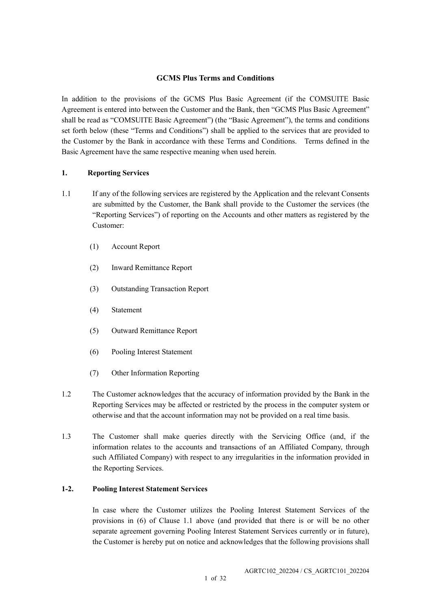## **GCMS Plus Terms and Conditions**

In addition to the provisions of the GCMS Plus Basic Agreement (if the COMSUITE Basic Agreement is entered into between the Customer and the Bank, then "GCMS Plus Basic Agreement" shall be read as "COMSUITE Basic Agreement") (the "Basic Agreement"), the terms and conditions set forth below (these "Terms and Conditions") shall be applied to the services that are provided to the Customer by the Bank in accordance with these Terms and Conditions. Terms defined in the Basic Agreement have the same respective meaning when used herein.

## **1. Reporting Services**

- 1.1 If any of the following services are registered by the Application and the relevant Consents are submitted by the Customer, the Bank shall provide to the Customer the services (the "Reporting Services") of reporting on the Accounts and other matters as registered by the Customer:
	- (1) Account Report
	- (2) Inward Remittance Report
	- (3) Outstanding Transaction Report
	- (4) Statement
	- (5) Outward Remittance Report
	- (6) Pooling Interest Statement
	- (7) Other Information Reporting
- 1.2 The Customer acknowledges that the accuracy of information provided by the Bank in the Reporting Services may be affected or restricted by the process in the computer system or otherwise and that the account information may not be provided on a real time basis.
- 1.3 The Customer shall make queries directly with the Servicing Office (and, if the information relates to the accounts and transactions of an Affiliated Company, through such Affiliated Company) with respect to any irregularities in the information provided in the Reporting Services.

## **1-2. Pooling Interest Statement Services**

In case where the Customer utilizes the Pooling Interest Statement Services of the provisions in (6) of Clause 1.1 above (and provided that there is or will be no other separate agreement governing Pooling Interest Statement Services currently or in future), the Customer is hereby put on notice and acknowledges that the following provisions shall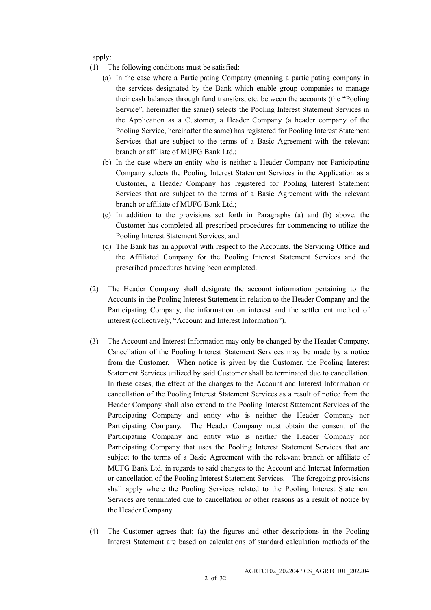apply:

- (1) The following conditions must be satisfied:
	- (a) In the case where a Participating Company (meaning a participating company in the services designated by the Bank which enable group companies to manage their cash balances through fund transfers, etc. between the accounts (the "Pooling Service", hereinafter the same)) selects the Pooling Interest Statement Services in the Application as a Customer, a Header Company (a header company of the Pooling Service, hereinafter the same) has registered for Pooling Interest Statement Services that are subject to the terms of a Basic Agreement with the relevant branch or affiliate of MUFG Bank Ltd.;
	- (b) In the case where an entity who is neither a Header Company nor Participating Company selects the Pooling Interest Statement Services in the Application as a Customer, a Header Company has registered for Pooling Interest Statement Services that are subject to the terms of a Basic Agreement with the relevant branch or affiliate of MUFG Bank Ltd.;
	- (c) In addition to the provisions set forth in Paragraphs (a) and (b) above, the Customer has completed all prescribed procedures for commencing to utilize the Pooling Interest Statement Services; and
	- (d) The Bank has an approval with respect to the Accounts, the Servicing Office and the Affiliated Company for the Pooling Interest Statement Services and the prescribed procedures having been completed.
- (2) The Header Company shall designate the account information pertaining to the Accounts in the Pooling Interest Statement in relation to the Header Company and the Participating Company, the information on interest and the settlement method of interest (collectively, "Account and Interest Information").
- (3) The Account and Interest Information may only be changed by the Header Company. Cancellation of the Pooling Interest Statement Services may be made by a notice from the Customer. When notice is given by the Customer, the Pooling Interest Statement Services utilized by said Customer shall be terminated due to cancellation. In these cases, the effect of the changes to the Account and Interest Information or cancellation of the Pooling Interest Statement Services as a result of notice from the Header Company shall also extend to the Pooling Interest Statement Services of the Participating Company and entity who is neither the Header Company nor Participating Company. The Header Company must obtain the consent of the Participating Company and entity who is neither the Header Company nor Participating Company that uses the Pooling Interest Statement Services that are subject to the terms of a Basic Agreement with the relevant branch or affiliate of MUFG Bank Ltd. in regards to said changes to the Account and Interest Information or cancellation of the Pooling Interest Statement Services. The foregoing provisions shall apply where the Pooling Services related to the Pooling Interest Statement Services are terminated due to cancellation or other reasons as a result of notice by the Header Company.
- (4) The Customer agrees that: (a) the figures and other descriptions in the Pooling Interest Statement are based on calculations of standard calculation methods of the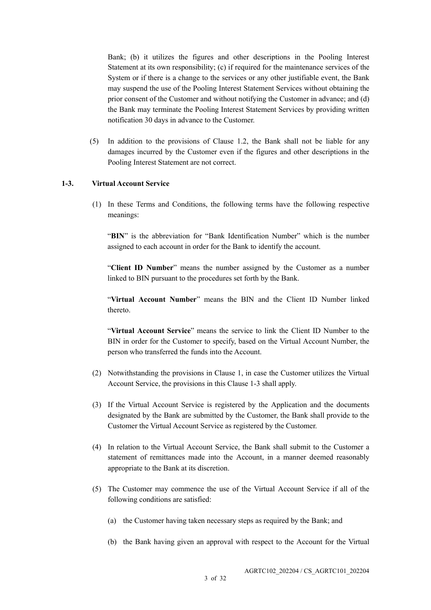Bank; (b) it utilizes the figures and other descriptions in the Pooling Interest Statement at its own responsibility; (c) if required for the maintenance services of the System or if there is a change to the services or any other justifiable event, the Bank may suspend the use of the Pooling Interest Statement Services without obtaining the prior consent of the Customer and without notifying the Customer in advance; and (d) the Bank may terminate the Pooling Interest Statement Services by providing written notification 30 days in advance to the Customer.

(5) In addition to the provisions of Clause 1.2, the Bank shall not be liable for any damages incurred by the Customer even if the figures and other descriptions in the Pooling Interest Statement are not correct.

#### **1-3. Virtual Account Service**

(1) In these Terms and Conditions, the following terms have the following respective meanings:

"BIN" is the abbreviation for "Bank Identification Number" which is the number assigned to each account in order for the Bank to identify the account.

"**Client ID Number**" means the number assigned by the Customer as a number linked to BIN pursuant to the procedures set forth by the Bank.

"**Virtual Account Number**" means the BIN and the Client ID Number linked thereto.

"**Virtual Account Service**" means the service to link the Client ID Number to the BIN in order for the Customer to specify, based on the Virtual Account Number, the person who transferred the funds into the Account.

- (2) Notwithstanding the provisions in Clause 1, in case the Customer utilizes the Virtual Account Service, the provisions in this Clause 1-3 shall apply.
- (3) If the Virtual Account Service is registered by the Application and the documents designated by the Bank are submitted by the Customer, the Bank shall provide to the Customer the Virtual Account Service as registered by the Customer.
- (4) In relation to the Virtual Account Service, the Bank shall submit to the Customer a statement of remittances made into the Account, in a manner deemed reasonably appropriate to the Bank at its discretion.
- (5) The Customer may commence the use of the Virtual Account Service if all of the following conditions are satisfied:
	- (a) the Customer having taken necessary steps as required by the Bank; and
	- (b) the Bank having given an approval with respect to the Account for the Virtual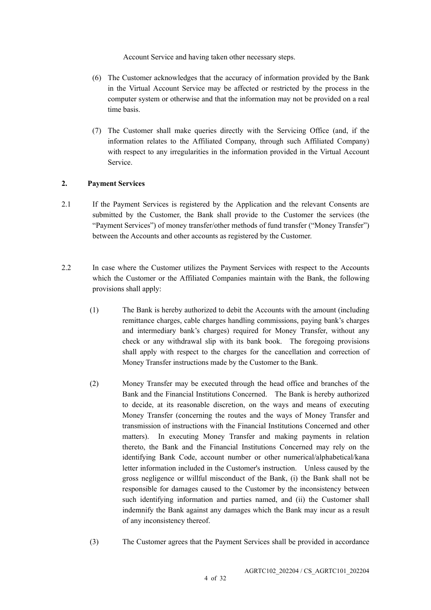Account Service and having taken other necessary steps.

- (6) The Customer acknowledges that the accuracy of information provided by the Bank in the Virtual Account Service may be affected or restricted by the process in the computer system or otherwise and that the information may not be provided on a real time basis.
- (7) The Customer shall make queries directly with the Servicing Office (and, if the information relates to the Affiliated Company, through such Affiliated Company) with respect to any irregularities in the information provided in the Virtual Account Service.

## **2. Payment Services**

- 2.1 If the Payment Services is registered by the Application and the relevant Consents are submitted by the Customer, the Bank shall provide to the Customer the services (the "Payment Services") of money transfer/other methods of fund transfer ("Money Transfer") between the Accounts and other accounts as registered by the Customer.
- 2.2 In case where the Customer utilizes the Payment Services with respect to the Accounts which the Customer or the Affiliated Companies maintain with the Bank, the following provisions shall apply:
	- (1) The Bank is hereby authorized to debit the Accounts with the amount (including remittance charges, cable charges handling commissions, paying bank's charges and intermediary bank's charges) required for Money Transfer, without any check or any withdrawal slip with its bank book. The foregoing provisions shall apply with respect to the charges for the cancellation and correction of Money Transfer instructions made by the Customer to the Bank.
	- (2) Money Transfer may be executed through the head office and branches of the Bank and the Financial Institutions Concerned. The Bank is hereby authorized to decide, at its reasonable discretion, on the ways and means of executing Money Transfer (concerning the routes and the ways of Money Transfer and transmission of instructions with the Financial Institutions Concerned and other matters). In executing Money Transfer and making payments in relation thereto, the Bank and the Financial Institutions Concerned may rely on the identifying Bank Code, account number or other numerical/alphabetical/kana letter information included in the Customer's instruction. Unless caused by the gross negligence or willful misconduct of the Bank, (i) the Bank shall not be responsible for damages caused to the Customer by the inconsistency between such identifying information and parties named, and (ii) the Customer shall indemnify the Bank against any damages which the Bank may incur as a result of any inconsistency thereof.
	- (3) The Customer agrees that the Payment Services shall be provided in accordance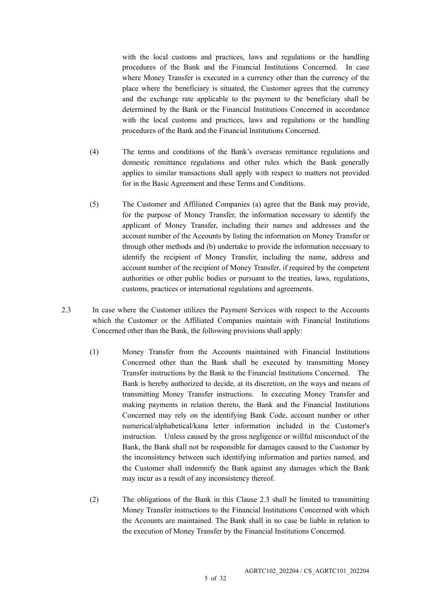with the local customs and practices, laws and regulations or the handling procedures of the Bank and the Financial Institutions Concerned. In case where Money Transfer is executed in a currency other than the currency of the place where the beneficiary is situated, the Customer agrees that the currency and the exchange rate applicable to the payment to the beneficiary shall be determined by the Bank or the Financial Institutions Concerned in accordance with the local customs and practices, laws and regulations or the handling procedures of the Bank and the Financial Institutions Concerned.

- (4) The terms and conditions of the Bank's overseas remittance regulations and domestic remittance regulations and other rules which the Bank generally applies to similar transactions shall apply with respect to matters not provided for in the Basic Agreement and these Terms and Conditions.
- (5) The Customer and Affiliated Companies (a) agree that the Bank may provide, for the purpose of Money Transfer, the information necessary to identify the applicant of Money Transfer, including their names and addresses and the account number of the Accounts by listing the information on Money Transfer or through other methods and (b) undertake to provide the information necessary to identify the recipient of Money Transfer, including the name, address and account number of the recipient of Money Transfer, if required by the competent authorities or other public bodies or pursuant to the treaties, laws, regulations, customs, practices or international regulations and agreements.
- 2.3 In case where the Customer utilizes the Payment Services with respect to the Accounts which the Customer or the Affiliated Companies maintain with Financial Institutions Concerned other than the Bank, the following provisions shall apply:
	- (1) Money Transfer from the Accounts maintained with Financial Institutions Concerned other than the Bank shall be executed by transmitting Money Transfer instructions by the Bank to the Financial Institutions Concerned. The Bank is hereby authorized to decide, at its discretion, on the ways and means of transmitting Money Transfer instructions. In executing Money Transfer and making payments in relation thereto, the Bank and the Financial Institutions Concerned may rely on the identifying Bank Code, account number or other numerical/alphabetical/kana letter information included in the Customer's instruction. Unless caused by the gross negligence or willful misconduct of the Bank, the Bank shall not be responsible for damages caused to the Customer by the inconsistency between such identifying information and parties named, and the Customer shall indemnify the Bank against any damages which the Bank may incur as a result of any inconsistency thereof.
	- (2) The obligations of the Bank in this Clause 2.3 shall be limited to transmitting Money Transfer instructions to the Financial Institutions Concerned with which the Accounts are maintained. The Bank shall in no case be liable in relation to the execution of Money Transfer by the Financial Institutions Concerned.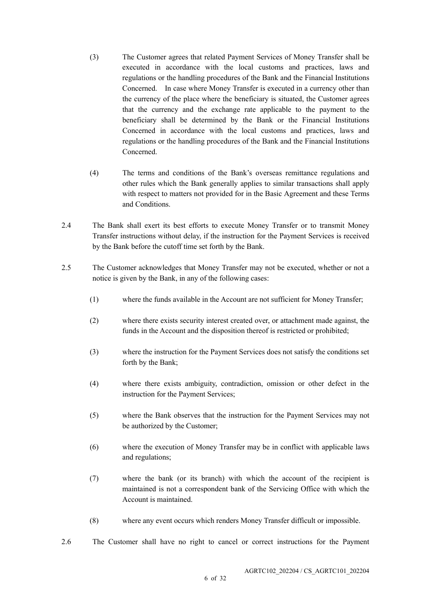- (3) The Customer agrees that related Payment Services of Money Transfer shall be executed in accordance with the local customs and practices, laws and regulations or the handling procedures of the Bank and the Financial Institutions Concerned. In case where Money Transfer is executed in a currency other than the currency of the place where the beneficiary is situated, the Customer agrees that the currency and the exchange rate applicable to the payment to the beneficiary shall be determined by the Bank or the Financial Institutions Concerned in accordance with the local customs and practices, laws and regulations or the handling procedures of the Bank and the Financial Institutions Concerned.
- (4) The terms and conditions of the Bank's overseas remittance regulations and other rules which the Bank generally applies to similar transactions shall apply with respect to matters not provided for in the Basic Agreement and these Terms and Conditions.
- 2.4 The Bank shall exert its best efforts to execute Money Transfer or to transmit Money Transfer instructions without delay, if the instruction for the Payment Services is received by the Bank before the cutoff time set forth by the Bank.
- 2.5 The Customer acknowledges that Money Transfer may not be executed, whether or not a notice is given by the Bank, in any of the following cases:
	- (1) where the funds available in the Account are not sufficient for Money Transfer;
	- (2) where there exists security interest created over, or attachment made against, the funds in the Account and the disposition thereof is restricted or prohibited;
	- (3) where the instruction for the Payment Services does not satisfy the conditions set forth by the Bank;
	- (4) where there exists ambiguity, contradiction, omission or other defect in the instruction for the Payment Services;
	- (5) where the Bank observes that the instruction for the Payment Services may not be authorized by the Customer;
	- (6) where the execution of Money Transfer may be in conflict with applicable laws and regulations;
	- (7) where the bank (or its branch) with which the account of the recipient is maintained is not a correspondent bank of the Servicing Office with which the Account is maintained.
	- (8) where any event occurs which renders Money Transfer difficult or impossible.
- 2.6 The Customer shall have no right to cancel or correct instructions for the Payment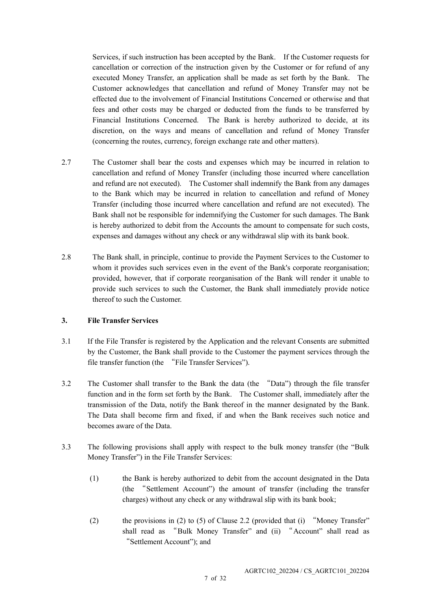Services, if such instruction has been accepted by the Bank. If the Customer requests for cancellation or correction of the instruction given by the Customer or for refund of any executed Money Transfer, an application shall be made as set forth by the Bank. The Customer acknowledges that cancellation and refund of Money Transfer may not be effected due to the involvement of Financial Institutions Concerned or otherwise and that fees and other costs may be charged or deducted from the funds to be transferred by Financial Institutions Concerned. The Bank is hereby authorized to decide, at its discretion, on the ways and means of cancellation and refund of Money Transfer (concerning the routes, currency, foreign exchange rate and other matters).

- 2.7 The Customer shall bear the costs and expenses which may be incurred in relation to cancellation and refund of Money Transfer (including those incurred where cancellation and refund are not executed). The Customer shall indemnify the Bank from any damages to the Bank which may be incurred in relation to cancellation and refund of Money Transfer (including those incurred where cancellation and refund are not executed). The Bank shall not be responsible for indemnifying the Customer for such damages. The Bank is hereby authorized to debit from the Accounts the amount to compensate for such costs, expenses and damages without any check or any withdrawal slip with its bank book.
- 2.8 The Bank shall, in principle, continue to provide the Payment Services to the Customer to whom it provides such services even in the event of the Bank's corporate reorganisation; provided, however, that if corporate reorganisation of the Bank will render it unable to provide such services to such the Customer, the Bank shall immediately provide notice thereof to such the Customer.

## **3. File Transfer Services**

- 3.1 If the File Transfer is registered by the Application and the relevant Consents are submitted by the Customer, the Bank shall provide to the Customer the payment services through the file transfer function (the "File Transfer Services").
- 3.2 The Customer shall transfer to the Bank the data (the "Data") through the file transfer function and in the form set forth by the Bank. The Customer shall, immediately after the transmission of the Data, notify the Bank thereof in the manner designated by the Bank. The Data shall become firm and fixed, if and when the Bank receives such notice and becomes aware of the Data.
- 3.3 The following provisions shall apply with respect to the bulk money transfer (the "Bulk Money Transfer") in the File Transfer Services:
	- (1) the Bank is hereby authorized to debit from the account designated in the Data (the "Settlement Account") the amount of transfer (including the transfer charges) without any check or any withdrawal slip with its bank book;
	- (2) the provisions in (2) to (5) of Clause 2.2 (provided that (i) "Money Transfer" shall read as "Bulk Money Transfer" and (ii) "Account" shall read as "Settlement Account"); and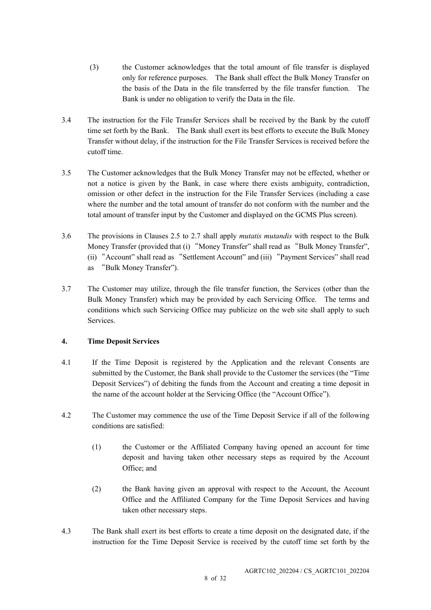- (3) the Customer acknowledges that the total amount of file transfer is displayed only for reference purposes. The Bank shall effect the Bulk Money Transfer on the basis of the Data in the file transferred by the file transfer function. The Bank is under no obligation to verify the Data in the file.
- 3.4 The instruction for the File Transfer Services shall be received by the Bank by the cutoff time set forth by the Bank. The Bank shall exert its best efforts to execute the Bulk Money Transfer without delay, if the instruction for the File Transfer Services is received before the cutoff time.
- 3.5 The Customer acknowledges that the Bulk Money Transfer may not be effected, whether or not a notice is given by the Bank, in case where there exists ambiguity, contradiction, omission or other defect in the instruction for the File Transfer Services (including a case where the number and the total amount of transfer do not conform with the number and the total amount of transfer input by the Customer and displayed on the GCMS Plus screen).
- 3.6 The provisions in Clauses 2.5 to 2.7 shall apply *mutatis mutandis* with respect to the Bulk Money Transfer (provided that (i) "Money Transfer" shall read as "Bulk Money Transfer", (ii) "Account" shall read as "Settlement Account" and (iii) "Payment Services" shall read as "Bulk Money Transfer").
- 3.7 The Customer may utilize, through the file transfer function, the Services (other than the Bulk Money Transfer) which may be provided by each Servicing Office. The terms and conditions which such Servicing Office may publicize on the web site shall apply to such Services.

# **4. Time Deposit Services**

- 4.1 If the Time Deposit is registered by the Application and the relevant Consents are submitted by the Customer, the Bank shall provide to the Customer the services (the "Time Deposit Services") of debiting the funds from the Account and creating a time deposit in the name of the account holder at the Servicing Office (the "Account Office").
- 4.2 The Customer may commence the use of the Time Deposit Service if all of the following conditions are satisfied:
	- (1) the Customer or the Affiliated Company having opened an account for time deposit and having taken other necessary steps as required by the Account Office; and
	- (2) the Bank having given an approval with respect to the Account, the Account Office and the Affiliated Company for the Time Deposit Services and having taken other necessary steps.
- 4.3 The Bank shall exert its best efforts to create a time deposit on the designated date, if the instruction for the Time Deposit Service is received by the cutoff time set forth by the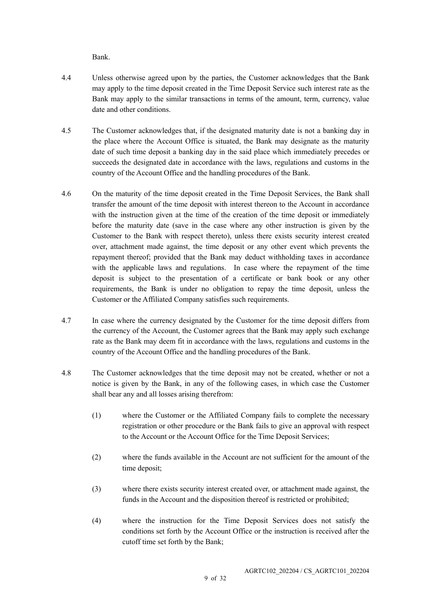Bank.

- 4.4 Unless otherwise agreed upon by the parties, the Customer acknowledges that the Bank may apply to the time deposit created in the Time Deposit Service such interest rate as the Bank may apply to the similar transactions in terms of the amount, term, currency, value date and other conditions.
- 4.5 The Customer acknowledges that, if the designated maturity date is not a banking day in the place where the Account Office is situated, the Bank may designate as the maturity date of such time deposit a banking day in the said place which immediately precedes or succeeds the designated date in accordance with the laws, regulations and customs in the country of the Account Office and the handling procedures of the Bank.
- 4.6 On the maturity of the time deposit created in the Time Deposit Services, the Bank shall transfer the amount of the time deposit with interest thereon to the Account in accordance with the instruction given at the time of the creation of the time deposit or immediately before the maturity date (save in the case where any other instruction is given by the Customer to the Bank with respect thereto), unless there exists security interest created over, attachment made against, the time deposit or any other event which prevents the repayment thereof; provided that the Bank may deduct withholding taxes in accordance with the applicable laws and regulations. In case where the repayment of the time deposit is subject to the presentation of a certificate or bank book or any other requirements, the Bank is under no obligation to repay the time deposit, unless the Customer or the Affiliated Company satisfies such requirements.
- 4.7 In case where the currency designated by the Customer for the time deposit differs from the currency of the Account, the Customer agrees that the Bank may apply such exchange rate as the Bank may deem fit in accordance with the laws, regulations and customs in the country of the Account Office and the handling procedures of the Bank.
- 4.8 The Customer acknowledges that the time deposit may not be created, whether or not a notice is given by the Bank, in any of the following cases, in which case the Customer shall bear any and all losses arising therefrom:
	- (1) where the Customer or the Affiliated Company fails to complete the necessary registration or other procedure or the Bank fails to give an approval with respect to the Account or the Account Office for the Time Deposit Services;
	- (2) where the funds available in the Account are not sufficient for the amount of the time deposit;
	- (3) where there exists security interest created over, or attachment made against, the funds in the Account and the disposition thereof is restricted or prohibited;
	- (4) where the instruction for the Time Deposit Services does not satisfy the conditions set forth by the Account Office or the instruction is received after the cutoff time set forth by the Bank;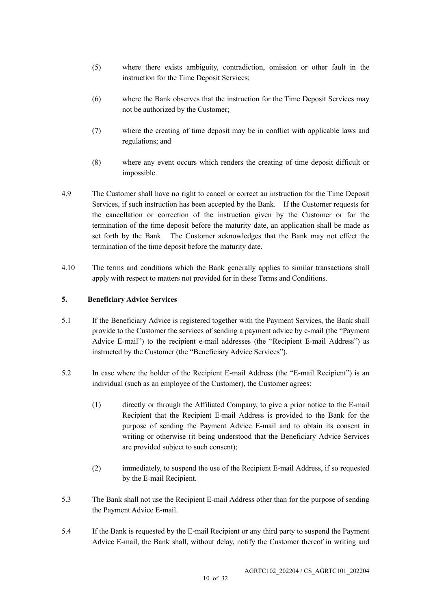- (5) where there exists ambiguity, contradiction, omission or other fault in the instruction for the Time Deposit Services;
- (6) where the Bank observes that the instruction for the Time Deposit Services may not be authorized by the Customer;
- (7) where the creating of time deposit may be in conflict with applicable laws and regulations; and
- (8) where any event occurs which renders the creating of time deposit difficult or impossible.
- 4.9 The Customer shall have no right to cancel or correct an instruction for the Time Deposit Services, if such instruction has been accepted by the Bank. If the Customer requests for the cancellation or correction of the instruction given by the Customer or for the termination of the time deposit before the maturity date, an application shall be made as set forth by the Bank. The Customer acknowledges that the Bank may not effect the termination of the time deposit before the maturity date.
- 4.10 The terms and conditions which the Bank generally applies to similar transactions shall apply with respect to matters not provided for in these Terms and Conditions.

## **5. Beneficiary Advice Services**

- 5.1 If the Beneficiary Advice is registered together with the Payment Services, the Bank shall provide to the Customer the services of sending a payment advice by e-mail (the "Payment Advice E-mail") to the recipient e-mail addresses (the "Recipient E-mail Address") as instructed by the Customer (the "Beneficiary Advice Services").
- 5.2 In case where the holder of the Recipient E-mail Address (the "E-mail Recipient") is an individual (such as an employee of the Customer), the Customer agrees:
	- (1) directly or through the Affiliated Company, to give a prior notice to the E-mail Recipient that the Recipient E-mail Address is provided to the Bank for the purpose of sending the Payment Advice E-mail and to obtain its consent in writing or otherwise (it being understood that the Beneficiary Advice Services are provided subject to such consent);
	- (2) immediately, to suspend the use of the Recipient E-mail Address, if so requested by the E-mail Recipient.
- 5.3 The Bank shall not use the Recipient E-mail Address other than for the purpose of sending the Payment Advice E-mail.
- 5.4 If the Bank is requested by the E-mail Recipient or any third party to suspend the Payment Advice E-mail, the Bank shall, without delay, notify the Customer thereof in writing and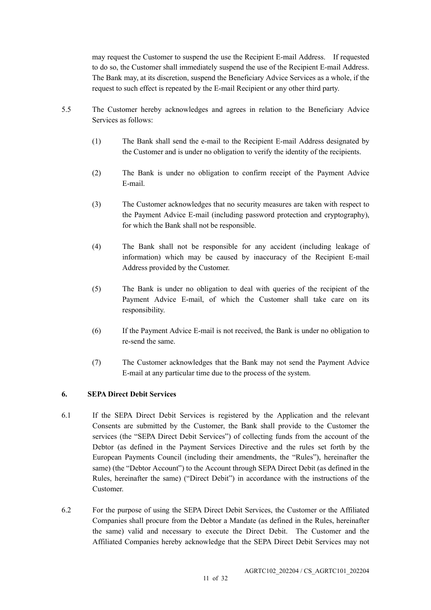may request the Customer to suspend the use the Recipient E-mail Address. If requested to do so, the Customer shall immediately suspend the use of the Recipient E-mail Address. The Bank may, at its discretion, suspend the Beneficiary Advice Services as a whole, if the request to such effect is repeated by the E-mail Recipient or any other third party.

- 5.5 The Customer hereby acknowledges and agrees in relation to the Beneficiary Advice Services as follows:
	- (1) The Bank shall send the e-mail to the Recipient E-mail Address designated by the Customer and is under no obligation to verify the identity of the recipients.
	- (2) The Bank is under no obligation to confirm receipt of the Payment Advice E-mail.
	- (3) The Customer acknowledges that no security measures are taken with respect to the Payment Advice E-mail (including password protection and cryptography), for which the Bank shall not be responsible.
	- (4) The Bank shall not be responsible for any accident (including leakage of information) which may be caused by inaccuracy of the Recipient E-mail Address provided by the Customer.
	- (5) The Bank is under no obligation to deal with queries of the recipient of the Payment Advice E-mail, of which the Customer shall take care on its responsibility.
	- (6) If the Payment Advice E-mail is not received, the Bank is under no obligation to re-send the same.
	- (7) The Customer acknowledges that the Bank may not send the Payment Advice E-mail at any particular time due to the process of the system.

## **6. SEPA Direct Debit Services**

- 6.1 If the SEPA Direct Debit Services is registered by the Application and the relevant Consents are submitted by the Customer, the Bank shall provide to the Customer the services (the "SEPA Direct Debit Services") of collecting funds from the account of the Debtor (as defined in the Payment Services Directive and the rules set forth by the European Payments Council (including their amendments, the "Rules"), hereinafter the same) (the "Debtor Account") to the Account through SEPA Direct Debit (as defined in the Rules, hereinafter the same) ("Direct Debit") in accordance with the instructions of the Customer.
- 6.2 For the purpose of using the SEPA Direct Debit Services, the Customer or the Affiliated Companies shall procure from the Debtor a Mandate (as defined in the Rules, hereinafter the same) valid and necessary to execute the Direct Debit. The Customer and the Affiliated Companies hereby acknowledge that the SEPA Direct Debit Services may not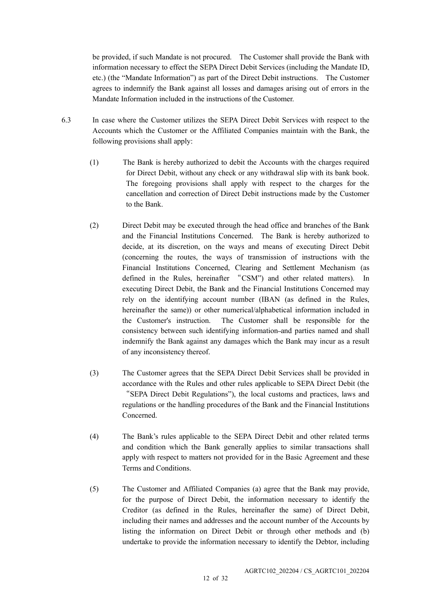be provided, if such Mandate is not procured. The Customer shall provide the Bank with information necessary to effect the SEPA Direct Debit Services (including the Mandate ID, etc.) (the "Mandate Information") as part of the Direct Debit instructions. The Customer agrees to indemnify the Bank against all losses and damages arising out of errors in the Mandate Information included in the instructions of the Customer.

- 6.3 In case where the Customer utilizes the SEPA Direct Debit Services with respect to the Accounts which the Customer or the Affiliated Companies maintain with the Bank, the following provisions shall apply:
	- (1) The Bank is hereby authorized to debit the Accounts with the charges required for Direct Debit, without any check or any withdrawal slip with its bank book. The foregoing provisions shall apply with respect to the charges for the cancellation and correction of Direct Debit instructions made by the Customer to the Bank.
	- (2) Direct Debit may be executed through the head office and branches of the Bank and the Financial Institutions Concerned. The Bank is hereby authorized to decide, at its discretion, on the ways and means of executing Direct Debit (concerning the routes, the ways of transmission of instructions with the Financial Institutions Concerned, Clearing and Settlement Mechanism (as defined in the Rules, hereinafter "CSM") and other related matters). In executing Direct Debit, the Bank and the Financial Institutions Concerned may rely on the identifying account number (IBAN (as defined in the Rules, hereinafter the same)) or other numerical/alphabetical information included in the Customer's instruction. The Customer shall be responsible for the consistency between such identifying information and parties named and shall indemnify the Bank against any damages which the Bank may incur as a result of any inconsistency thereof.
	- (3) The Customer agrees that the SEPA Direct Debit Services shall be provided in accordance with the Rules and other rules applicable to SEPA Direct Debit (the "SEPA Direct Debit Regulations"), the local customs and practices, laws and regulations or the handling procedures of the Bank and the Financial Institutions Concerned.
	- (4) The Bank's rules applicable to the SEPA Direct Debit and other related terms and condition which the Bank generally applies to similar transactions shall apply with respect to matters not provided for in the Basic Agreement and these Terms and Conditions.
	- (5) The Customer and Affiliated Companies (a) agree that the Bank may provide, for the purpose of Direct Debit, the information necessary to identify the Creditor (as defined in the Rules, hereinafter the same) of Direct Debit, including their names and addresses and the account number of the Accounts by listing the information on Direct Debit or through other methods and (b) undertake to provide the information necessary to identify the Debtor, including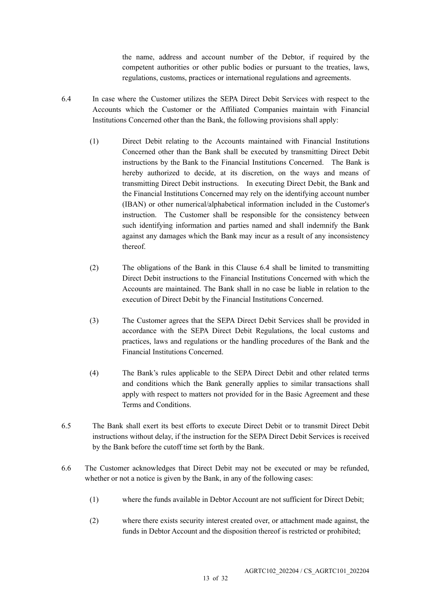the name, address and account number of the Debtor, if required by the competent authorities or other public bodies or pursuant to the treaties, laws, regulations, customs, practices or international regulations and agreements.

- 6.4 In case where the Customer utilizes the SEPA Direct Debit Services with respect to the Accounts which the Customer or the Affiliated Companies maintain with Financial Institutions Concerned other than the Bank, the following provisions shall apply:
	- (1) Direct Debit relating to the Accounts maintained with Financial Institutions Concerned other than the Bank shall be executed by transmitting Direct Debit instructions by the Bank to the Financial Institutions Concerned. The Bank is hereby authorized to decide, at its discretion, on the ways and means of transmitting Direct Debit instructions. In executing Direct Debit, the Bank and the Financial Institutions Concerned may rely on the identifying account number (IBAN) or other numerical/alphabetical information included in the Customer's instruction. The Customer shall be responsible for the consistency between such identifying information and parties named and shall indemnify the Bank against any damages which the Bank may incur as a result of any inconsistency thereof.
	- (2) The obligations of the Bank in this Clause 6.4 shall be limited to transmitting Direct Debit instructions to the Financial Institutions Concerned with which the Accounts are maintained. The Bank shall in no case be liable in relation to the execution of Direct Debit by the Financial Institutions Concerned.
	- (3) The Customer agrees that the SEPA Direct Debit Services shall be provided in accordance with the SEPA Direct Debit Regulations, the local customs and practices, laws and regulations or the handling procedures of the Bank and the Financial Institutions Concerned.
	- (4) The Bank's rules applicable to the SEPA Direct Debit and other related terms and conditions which the Bank generally applies to similar transactions shall apply with respect to matters not provided for in the Basic Agreement and these Terms and Conditions.
- 6.5 The Bank shall exert its best efforts to execute Direct Debit or to transmit Direct Debit instructions without delay, if the instruction for the SEPA Direct Debit Services is received by the Bank before the cutoff time set forth by the Bank.
- 6.6 The Customer acknowledges that Direct Debit may not be executed or may be refunded, whether or not a notice is given by the Bank, in any of the following cases:
	- (1) where the funds available in Debtor Account are not sufficient for Direct Debit;
	- (2) where there exists security interest created over, or attachment made against, the funds in Debtor Account and the disposition thereof is restricted or prohibited;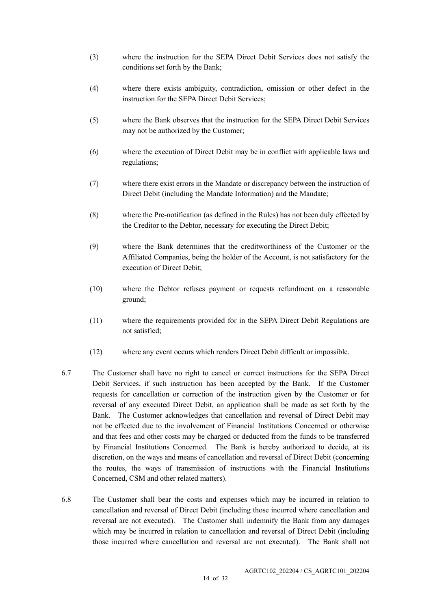- (3) where the instruction for the SEPA Direct Debit Services does not satisfy the conditions set forth by the Bank;
- (4) where there exists ambiguity, contradiction, omission or other defect in the instruction for the SEPA Direct Debit Services;
- (5) where the Bank observes that the instruction for the SEPA Direct Debit Services may not be authorized by the Customer;
- (6) where the execution of Direct Debit may be in conflict with applicable laws and regulations;
- (7) where there exist errors in the Mandate or discrepancy between the instruction of Direct Debit (including the Mandate Information) and the Mandate;
- (8) where the Pre-notification (as defined in the Rules) has not been duly effected by the Creditor to the Debtor, necessary for executing the Direct Debit;
- (9) where the Bank determines that the creditworthiness of the Customer or the Affiliated Companies, being the holder of the Account, is not satisfactory for the execution of Direct Debit;
- (10) where the Debtor refuses payment or requests refundment on a reasonable ground;
- (11) where the requirements provided for in the SEPA Direct Debit Regulations are not satisfied;
- (12) where any event occurs which renders Direct Debit difficult or impossible.
- 6.7 The Customer shall have no right to cancel or correct instructions for the SEPA Direct Debit Services, if such instruction has been accepted by the Bank. If the Customer requests for cancellation or correction of the instruction given by the Customer or for reversal of any executed Direct Debit, an application shall be made as set forth by the Bank. The Customer acknowledges that cancellation and reversal of Direct Debit may not be effected due to the involvement of Financial Institutions Concerned or otherwise and that fees and other costs may be charged or deducted from the funds to be transferred by Financial Institutions Concerned. The Bank is hereby authorized to decide, at its discretion, on the ways and means of cancellation and reversal of Direct Debit (concerning the routes, the ways of transmission of instructions with the Financial Institutions Concerned, CSM and other related matters).
- 6.8 The Customer shall bear the costs and expenses which may be incurred in relation to cancellation and reversal of Direct Debit (including those incurred where cancellation and reversal are not executed). The Customer shall indemnify the Bank from any damages which may be incurred in relation to cancellation and reversal of Direct Debit (including those incurred where cancellation and reversal are not executed). The Bank shall not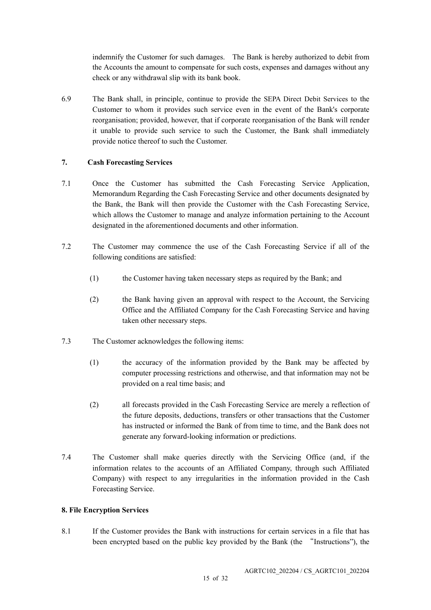indemnify the Customer for such damages. The Bank is hereby authorized to debit from the Accounts the amount to compensate for such costs, expenses and damages without any check or any withdrawal slip with its bank book.

6.9 The Bank shall, in principle, continue to provide the SEPA Direct Debit Services to the Customer to whom it provides such service even in the event of the Bank's corporate reorganisation; provided, however, that if corporate reorganisation of the Bank will render it unable to provide such service to such the Customer, the Bank shall immediately provide notice thereof to such the Customer.

## **7. Cash Forecasting Services**

- 7.1 Once the Customer has submitted the Cash Forecasting Service Application, Memorandum Regarding the Cash Forecasting Service and other documents designated by the Bank, the Bank will then provide the Customer with the Cash Forecasting Service, which allows the Customer to manage and analyze information pertaining to the Account designated in the aforementioned documents and other information.
- 7.2 The Customer may commence the use of the Cash Forecasting Service if all of the following conditions are satisfied:
	- (1) the Customer having taken necessary steps as required by the Bank; and
	- (2) the Bank having given an approval with respect to the Account, the Servicing Office and the Affiliated Company for the Cash Forecasting Service and having taken other necessary steps.
- 7.3 The Customer acknowledges the following items:
	- (1) the accuracy of the information provided by the Bank may be affected by computer processing restrictions and otherwise, and that information may not be provided on a real time basis; and
	- (2) all forecasts provided in the Cash Forecasting Service are merely a reflection of the future deposits, deductions, transfers or other transactions that the Customer has instructed or informed the Bank of from time to time, and the Bank does not generate any forward-looking information or predictions.
- 7.4 The Customer shall make queries directly with the Servicing Office (and, if the information relates to the accounts of an Affiliated Company, through such Affiliated Company) with respect to any irregularities in the information provided in the Cash Forecasting Service.

## **8. File Encryption Services**

8.1 If the Customer provides the Bank with instructions for certain services in a file that has been encrypted based on the public key provided by the Bank (the "Instructions"), the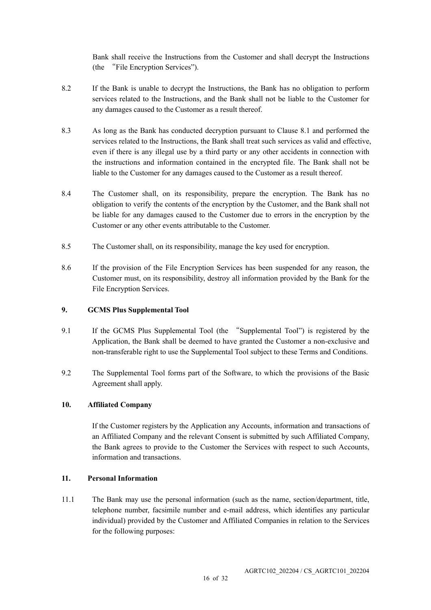Bank shall receive the Instructions from the Customer and shall decrypt the Instructions (the "File Encryption Services").

- 8.2 If the Bank is unable to decrypt the Instructions, the Bank has no obligation to perform services related to the Instructions, and the Bank shall not be liable to the Customer for any damages caused to the Customer as a result thereof.
- 8.3 As long as the Bank has conducted decryption pursuant to Clause 8.1 and performed the services related to the Instructions, the Bank shall treat such services as valid and effective, even if there is any illegal use by a third party or any other accidents in connection with the instructions and information contained in the encrypted file. The Bank shall not be liable to the Customer for any damages caused to the Customer as a result thereof.
- 8.4 The Customer shall, on its responsibility, prepare the encryption. The Bank has no obligation to verify the contents of the encryption by the Customer, and the Bank shall not be liable for any damages caused to the Customer due to errors in the encryption by the Customer or any other events attributable to the Customer.
- 8.5 The Customer shall, on its responsibility, manage the key used for encryption.
- 8.6 If the provision of the File Encryption Services has been suspended for any reason, the Customer must, on its responsibility, destroy all information provided by the Bank for the File Encryption Services.

## **9. GCMS Plus Supplemental Tool**

- 9.1 If the GCMS Plus Supplemental Tool (the "Supplemental Tool") is registered by the Application, the Bank shall be deemed to have granted the Customer a non-exclusive and non-transferable right to use the Supplemental Tool subject to these Terms and Conditions.
- 9.2 The Supplemental Tool forms part of the Software, to which the provisions of the Basic Agreement shall apply.

## **10. Affiliated Company**

If the Customer registers by the Application any Accounts, information and transactions of an Affiliated Company and the relevant Consent is submitted by such Affiliated Company, the Bank agrees to provide to the Customer the Services with respect to such Accounts, information and transactions.

## **11. Personal Information**

11.1 The Bank may use the personal information (such as the name, section/department, title, telephone number, facsimile number and e-mail address, which identifies any particular individual) provided by the Customer and Affiliated Companies in relation to the Services for the following purposes: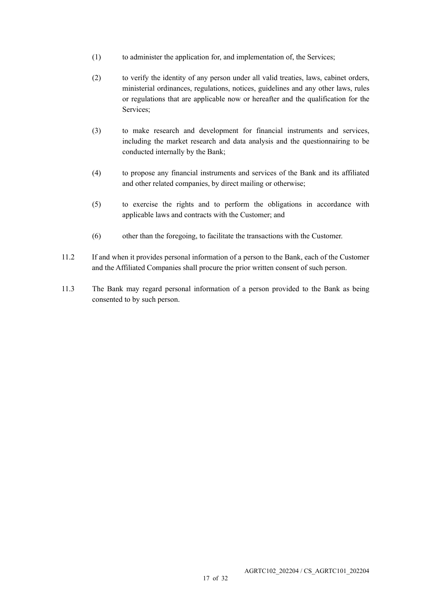- (1) to administer the application for, and implementation of, the Services;
- (2) to verify the identity of any person under all valid treaties, laws, cabinet orders, ministerial ordinances, regulations, notices, guidelines and any other laws, rules or regulations that are applicable now or hereafter and the qualification for the Services;
- (3) to make research and development for financial instruments and services, including the market research and data analysis and the questionnairing to be conducted internally by the Bank;
- (4) to propose any financial instruments and services of the Bank and its affiliated and other related companies, by direct mailing or otherwise;
- (5) to exercise the rights and to perform the obligations in accordance with applicable laws and contracts with the Customer; and
- (6) other than the foregoing, to facilitate the transactions with the Customer.
- 11.2 If and when it provides personal information of a person to the Bank, each of the Customer and the Affiliated Companies shall procure the prior written consent of such person.
- 11.3 The Bank may regard personal information of a person provided to the Bank as being consented to by such person.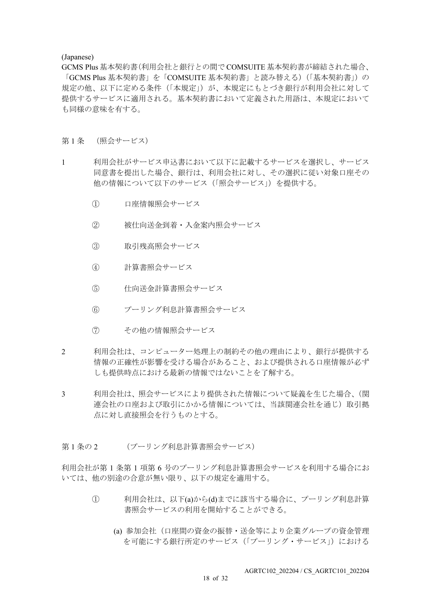#### (Japanese)

GCMS Plus 基本契約書(利用会社と銀行との間で COMSUITE 基本契約書が締結された場合、 「GCMS Plus 基本契約書」を「COMSUITE 基本契約書」と読み替える)(「基本契約書」)の 規定の他、以下に定める条件(「本規定」)が、本規定にもとづき銀行が利用会社に対して 提供するサービスに適用される。基本契約書において定義された用語は、本規定において も同様の意味を有する。

#### 第1条 (照会サービス)

- 1 利用会社がサービス申込書において以下に記載するサービスを選択し、サービス 同意書を提出した場合、銀行は、利用会社に対し、その選択に従い対象口座その 他の情報について以下のサービス(「照会サービス」)を提供する。
	- ① 口座情報照会サービス
	- ② 被仕向送金到着・入金案内照会サービス
	- ③ 取引残高照会サービス
	- ④ 計算書照会サービス
	- ⑤ 仕向送金計算書照会サービス
	- ⑥ プーリング利息計算書照会サービス
	- ⑦ その他の情報照会サービス
- 2 利用会社は、コンピューター処理上の制約その他の理由により、銀行が提供する 情報の正確性が影響を受ける場合があること、および提供される口座情報が必ず しも提供時点における最新の情報ではないことを了解する。
- 3 利用会社は、照会サービスにより提供された情報について疑義を生じた場合、(関 連会社の口座および取引にかかる情報については、当該関連会社を通じ)取引拠 点に対し直接照会を行うものとする。
- 第1条の2 (プーリング利息計算書照会サービス)

利用会社が第 1 条第 1 項第 6 号のプーリング利息計算書照会サービスを利用する場合にお いては、他の別途の合意が無い限り、以下の規定を適用する。

- ① 利用会社は、以下(a)から(d)までに該当する場合に、プーリング利息計算 書照会サービスの利用を開始することができる。
	- (a) 参加会社(口座間の資金の振替・送金等により企業グループの資金管理 を可能にする銀行所定のサービス(「プーリング・サービス」)における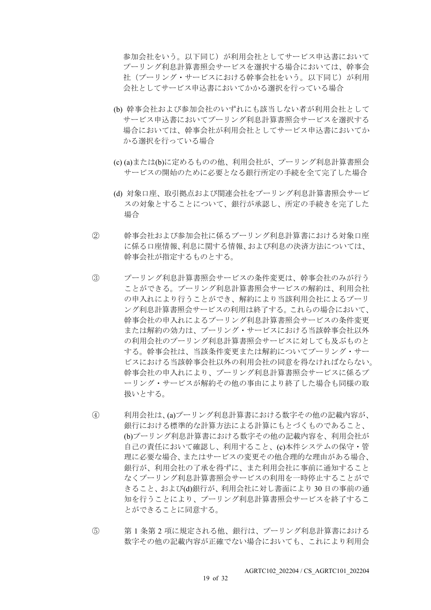参加会社をいう。以下同じ)が利用会社としてサービス申込書において プーリング利息計算書照会サービスを選択する場合においては、幹事会 社(プーリング・サービスにおける幹事会社をいう。以下同じ)が利用 会社としてサービス申込書においてかかる選択を行っている場合

- (b) 幹事会社および参加会社のいずれにも該当しない者が利用会社として サービス申込書においてプーリング利息計算書照会サービスを選択する 場合においては、幹事会社が利用会社としてサービス申込書においてか かる選択を行っている場合
- (c) (a)または(b)に定めるものの他、利用会社が、プーリング利息計算書照会 サービスの開始のために必要となる銀行所定の手続を全て完了した場合
- (d) 対象口座、取引拠点および関連会社をプーリング利息計算書照会サービ スの対象とすることについて、銀行が承認し、所定の手続きを完了した 場合
- ② 幹事会社および参加会社に係るプーリング利息計算書における対象口座 に係る口座情報、利息に関する情報、および利息の決済方法については、 幹事会社が指定するものとする。
- ③ プーリング利息計算書照会サービスの条件変更は、幹事会社のみが行う ことができる。プーリング利息計算書照会サービスの解約は、利用会社 の申入れにより行うことができ、解約により当該利用会社によるプーリ ング利息計算書照会サービスの利用は終了する。これらの場合において、 幹事会社の申入れによるプーリング利息計算書照会サービスの条件変更 または解約の効力は、プーリング・サービスにおける当該幹事会社以外 の利用会社のプーリング利息計算書照会サービスに対しても及ぶものと する。幹事会社は、当該条件変更または解約についてプーリング・サー ビスにおける当該幹事会社以外の利用会社の同意を得なければならない。 幹事会社の申入れにより、プーリング利息計算書照会サービスに係るプ ーリング・サービスが解約その他の事由により終了した場合も同様の取 扱いとする。
- ④ 利用会社は、(a)プーリング利息計算書における数字その他の記載内容が、 銀行における標準的な計算方法による計算にもとづくものであること、 (b)プーリング利息計算書における数字その他の記載内容を、利用会社が 自己の責任において確認し、利用すること、(c)本件システムの保守・管 理に必要な場合、またはサービスの変更その他合理的な理由がある場合、 銀行が、利用会社の了承を得ずに、また利用会社に事前に通知すること なくプーリング利息計算書照会サービスの利用を一時停止することがで きること、および(d)銀行が、利用会社に対し書面により 30 日の事前の通 知を行うことにより、プーリング利息計算書照会サービスを終了するこ とができることに同意する。
- ⑤ 第 1 条第 2 項に規定される他、銀行は、プーリング利息計算書における 数字その他の記載内容が正確でない場合においても、これにより利用会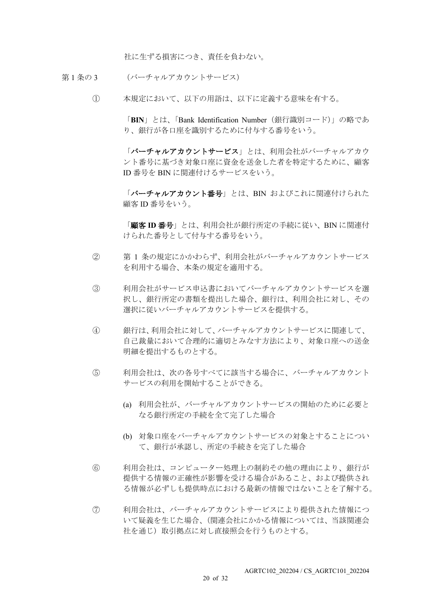社に生ずる損害につき、責任を負わない。

- 第1条の3 (バーチャルアカウントサービス)
	- ① 本規定において、以下の用語は、以下に定義する意味を有する。

「**BIN**」とは、「Bank Identification Number(銀行識別コード)」の略であ り、銀行が各口座を識別するために付与する番号をいう。

「バーチャルアカウントサービス」とは、利用会社がバーチャルアカウ ント番号に基づき対象口座に資金を送金した者を特定するために、顧客 ID 番号を BIN に関連付けるサービスをいう。

「バーチャルアカウント番号」とは、BIN およびこれに関連付けられた 顧客 ID 番号をいう。

「顧客 **ID** 番号」とは、利用会社が銀行所定の手続に従い、BIN に関連付 けられた番号として付与する番号をいう。

- ② 第 1 条の規定にかかわらず、利用会社がバーチャルアカウントサービス を利用する場合、本条の規定を適用する。
- ③ 利用会社がサービス申込書においてバーチャルアカウントサービスを選 択し、銀行所定の書類を提出した場合、銀行は、利用会社に対し、その 選択に従いバーチャルアカウントサービスを提供する。
- ④ 銀行は、利用会社に対して、バーチャルアカウントサービスに関連して、 自己裁量において合理的に適切とみなす方法により、対象口座への送金 明細を提出するものとする。
- ⑤ 利用会社は、次の各号すべてに該当する場合に、バーチャルアカウント サービスの利用を開始することができる。
	- (a) 利用会社が、バーチャルアカウントサービスの開始のために必要と なる銀行所定の手続を全て完了した場合
	- (b) 対象口座をバーチャルアカウントサービスの対象とすることについ て、銀行が承認し、所定の手続きを完了した場合
- ⑥ 利用会社は、コンピューター処理上の制約その他の理由により、銀行が 提供する情報の正確性が影響を受ける場合があること、および提供され る情報が必ずしも提供時点における最新の情報ではないことを了解する。
- ⑦ 利用会社は、バーチャルアカウントサービスにより提供された情報につ いて疑義を生じた場合、(関連会社にかかる情報については、当該関連会 社を通じ)取引拠点に対し直接照会を行うものとする。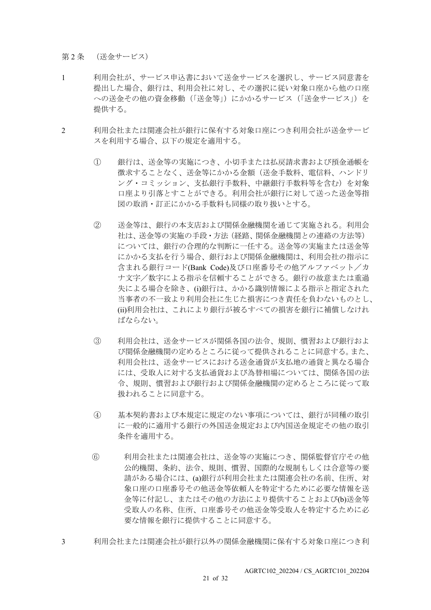第2条 (送金サービス)

- 1 利用会社が、サービス申込書において送金サービスを選択し、サービス同意書を 提出した場合、銀行は、利用会社に対し、その選択に従い対象口座から他の口座 への送金その他の資金移動(「送金等」)にかかるサービス(「送金サービス」)を 提供する。
- 2 利用会社または関連会社が銀行に保有する対象口座につき利用会社が送金サービ スを利用する場合、以下の規定を適用する。
	- ① 銀行は、送金等の実施につき、小切手または払戻請求書および預金通帳を 徴求することなく、送金等にかかる金額(送金手数料、電信料、ハンドリ ング・コミッション、支払銀行手数料、中継銀行手数料等を含む)を対象 口座より引落とすことができる。利用会社が銀行に対して送った送金等指 図の取消・訂正にかかる手数料も同様の取り扱いとする。
	- ② 送金等は、銀行の本支店および関係金融機関を通じて実施される。利用会 社は、送金等の実施の手段・方法(経路、関係金融機関との連絡の方法等) については、銀行の合理的な判断に一任する。送金等の実施または送金等 にかかる支払を行う場合、銀行および関係金融機関は、利用会社の指示に 含まれる銀行コード(Bank Code)及び口座番号その他アルファベット/カ ナ文字/数字による指示を信頼することができる。銀行の故意または重過 失による場合を除き、(i)銀行は、かかる識別情報による指示と指定された 当事者の不一致より利用会社に生じた損害につき責任を負わないものとし、 (ii)利用会社は、これにより銀行が被るすべての損害を銀行に補償しなけれ ばならない。
	- ③ 利用会社は、送金サービスが関係各国の法令、規則、慣習および銀行およ び関係金融機関の定めるところに従って提供されることに同意する。また、 利用会社は、送金サービスにおける送金通貨が支払地の通貨と異なる場合 には、受取人に対する支払通貨および為替相場については、関係各国の法 令、規則、慣習および銀行および関係金融機関の定めるところに従って取 扱われることに同意する。
	- ④ 基本契約書および本規定に規定のない事項については、銀行が同種の取引 に一般的に適用する銀行の外国送金規定および内国送金規定その他の取引 条件を適用する。
	- ⑥ 利用会社または関連会社は、送金等の実施につき、関係監督官庁その他 公的機関、条約、法令、規則、慣習、国際的な規制もしくは合意等の要 請がある場合には、(a)銀行が利用会社または関連会社の名前、住所、対 象口座の口座番号その他送金等依頼人を特定するために必要な情報を送 金等に付記し、またはその他の方法により提供することおよび(b)送金等 受取人の名称、住所、口座番号その他送金等受取人を特定するために必 要な情報を銀行に提供することに同意する。
- 3 利用会社または関連会社が銀行以外の関係金融機関に保有する対象口座につき利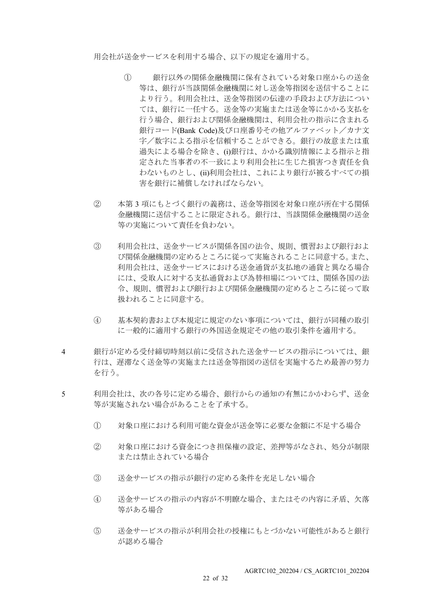用会社が送金サービスを利用する場合、以下の規定を適用する。

- ① 銀行以外の関係金融機関に保有されている対象口座からの送金 等は、銀行が当該関係金融機関に対し送金等指図を送信することに より行う。利用会社は、送金等指図の伝達の手段および方法につい ては、銀行に一任する。送金等の実施または送金等にかかる支払を 行う場合、銀行および関係金融機関は、利用会社の指示に含まれる 銀行コード(Bank Code)及び口座番号その他アルファベット/カナ文 字/数字による指示を信頼することができる。銀行の故意または重 過失による場合を除き、(i)銀行は、かかる識別情報による指示と指 定された当事者の不一致により利用会社に生じた損害つき責任を負 わないものとし、(ii)利用会社は、これにより銀行が被るすべての損 害を銀行に補償しなければならない。
- ② 本第 3 項にもとづく銀行の義務は、送金等指図を対象口座が所在する関係 金融機関に送信することに限定される。銀行は、当該関係金融機関の送金 等の実施について責任を負わない。
- ③ 利用会社は、送金サービスが関係各国の法令、規則、慣習および銀行およ び関係金融機関の定めるところに従って実施されることに同意する。また、 利用会社は、送金サービスにおける送金通貨が支払地の通貨と異なる場合 には、受取人に対する支払通貨および為替相場については、関係各国の法 令、規則、慣習および銀行および関係金融機関の定めるところに従って取 扱われることに同意する。
- ④ 基本契約書および本規定に規定のない事項については、銀行が同種の取引 に一般的に適用する銀行の外国送金規定その他の取引条件を適用する。
- 4 銀行が定める受付締切時刻以前に受信された送金サービスの指示については、銀 行は、遅滞なく送金等の実施または送金等指図の送信を実施するため最善の努力 を行う。
- 5 利用会社は、次の各号に定める場合、銀行からの通知の有無にかかわらず、送金 等が実施されない場合があることを了承する。
	- ① 対象口座における利用可能な資金が送金等に必要な金額に不足する場合
	- ② 対象口座における資金につき担保権の設定、差押等がなされ、処分が制限 または禁止されている場合
	- ③ 送金サービスの指示が銀行の定める条件を充足しない場合
	- ④ 送金サービスの指示の内容が不明瞭な場合、またはその内容に矛盾、欠落 等がある場合
	- ⑤ 送金サービスの指示が利用会社の授権にもとづかない可能性があると銀行 が認める場合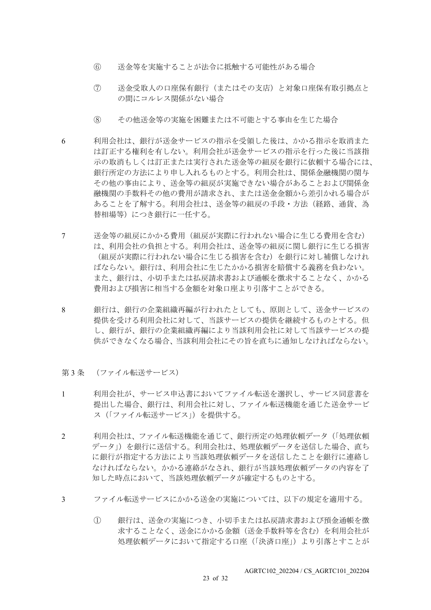- ⑥ 送金等を実施することが法令に抵触する可能性がある場合
- ⑦ 送金受取人の口座保有銀行(またはその支店)と対象口座保有取引拠点と の間にコルレス関係がない場合
- ⑧ その他送金等の実施を困難または不可能とする事由を生じた場合
- 6 利用会社は、銀行が送金サービスの指示を受領した後は、かかる指示を取消また は訂正する権利を有しない。利用会社が送金サービスの指示を行った後に当該指 示の取消もしくは訂正または実行された送金等の組戻を銀行に依頼する場合には、 銀行所定の方法により申し入れるものとする。利用会社は、関係金融機関の関与 その他の事由により、送金等の組戻が実施できない場合があることおよび関係金 融機関の手数料その他の費用が請求され、または送金金額から差引かれる場合が あることを了解する。利用会社は、送金等の組戻の手段・方法(経路、通貨、為 替相場等)につき銀行に一任する。
- 7 送金等の組戻にかかる費用(組戻が実際に行われない場合に生じる費用を含む) は、利用会社の負担とする。利用会社は、送金等の組戻に関し銀行に生じる損害 (組戻が実際に行われない場合に生じる損害を含む)を銀行に対し補償しなけれ ばならない。銀行は、利用会社に生じたかかる損害を賠償する義務を負わない。 また、銀行は、小切手または払戻請求書および通帳を徴求することなく、かかる 費用および損害に相当する金額を対象口座より引落すことができる。
- 8 銀行は、銀行の企業組織再編が行われたとしても、原則として、送金サービスの 提供を受ける利用会社に対して、当該サービスの提供を継続するものとする。但 し、銀行が、銀行の企業組織再編により当該利用会社に対して当該サービスの提 供ができなくなる場合、当該利用会社にその旨を直ちに通知しなければならない。
- 第3条 (ファイル転送サービス)
- 1 利用会社が、サービス申込書においてファイル転送を選択し、サービス同意書を 提出した場合、銀行は、利用会社に対し、ファイル転送機能を通じた送金サービ ス(「ファイル転送サービス」)を提供する。
- 2 利用会社は、ファイル転送機能を通じて、銀行所定の処理依頼データ(「処理依頼 データ」)を銀行に送信する。利用会社は、処理依頼データを送信した場合、直ち に銀行が指定する方法により当該処理依頼データを送信したことを銀行に連絡し なければならない。かかる連絡がなされ、銀行が当該処理依頼データの内容を了 知した時点において、当該処理依頼データが確定するものとする。
- 3 ファイル転送サービスにかかる送金の実施については、以下の規定を適用する。
	- ① 銀行は、送金の実施につき、小切手または払戻請求書および預金通帳を徴 求することなく、送金にかかる金額(送金手数料等を含む)を利用会社が 処理依頼データにおいて指定する口座(「決済口座」)より引落とすことが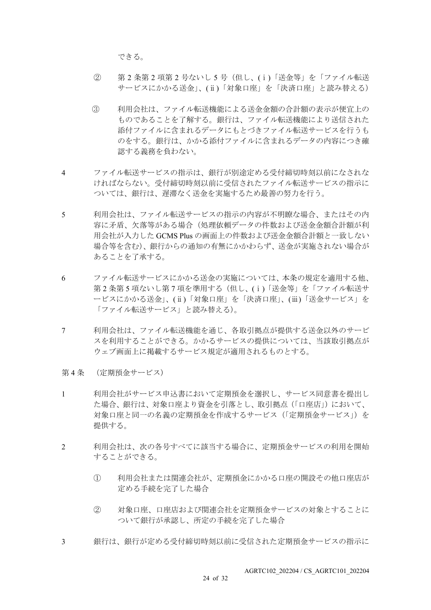できる。

- ② 第 2 条第 2 項第 2 号ないし 5 号(但し、(ⅰ)「送金等」を「ファイル転送 サービスにかかる送金」、(ⅱ)「対象口座」を「決済口座」と読み替える)
- ③ 利用会社は、ファイル転送機能による送金金額の合計額の表示が便宜上の ものであることを了解する。銀行は、ファイル転送機能により送信された 添付ファイルに含まれるデータにもとづきファイル転送サービスを行うも のをする。銀行は、かかる添付ファイルに含まれるデータの内容につき確 認する義務を負わない。
- 4 ファイル転送サービスの指示は、銀行が別途定める受付締切時刻以前になされな ければならない。受付締切時刻以前に受信されたファイル転送サービスの指示に ついては、銀行は、遅滞なく送金を実施するため最善の努力を行う。
- 5 利用会社は、ファイル転送サービスの指示の内容が不明瞭な場合、またはその内 容に矛盾、欠落等がある場合(処理依頼データの件数および送金金額合計額が利 用会社が入力した GCMS Plus の画面上の件数および送金金額合計額と一致しない 場合等を含む)、銀行からの通知の有無にかかわらず、送金が実施されない場合が あることを了承する。
- 6 ファイル転送サービスにかかる送金の実施については、本条の規定を適用する他、 第2条第5 項ないし第7項を準用する(但し、(i)「送金等」を「ファイル転送サ ービスにかかる送金」、(ⅱ)「対象口座」を「決済口座」、(ⅲ)「送金サービス」を 「ファイル転送サービス」と読み替える)。
- 7 利用会社は、ファイル転送機能を通じ、各取引拠点が提供する送金以外のサービ スを利用することができる。かかるサービスの提供については、当該取引拠点が ウェブ画面上に掲載するサービス規定が適用されるものとする。
- 第 4 条 (定期預金サービス)
- 1 利用会社がサービス申込書において定期預金を選択し、サービス同意書を提出し た場合、銀行は、対象口座より資金を引落とし、取引拠点(「口座店」)において、 対象口座と同一の名義の定期預金を作成するサービス(「定期預金サービス」)を 提供する。
- 2 利用会社は、次の各号すべてに該当する場合に、定期預金サービスの利用を開始 することができる。
	- ① 利用会社または関連会社が、定期預金にかかる口座の開設その他口座店が 定める手続を完了した場合
	- ② 対象口座、口座店および関連会社を定期預金サービスの対象とすることに ついて銀行が承認し、所定の手続を完了した場合
- 3 銀行は、銀行が定める受付締切時刻以前に受信された定期預金サービスの指示に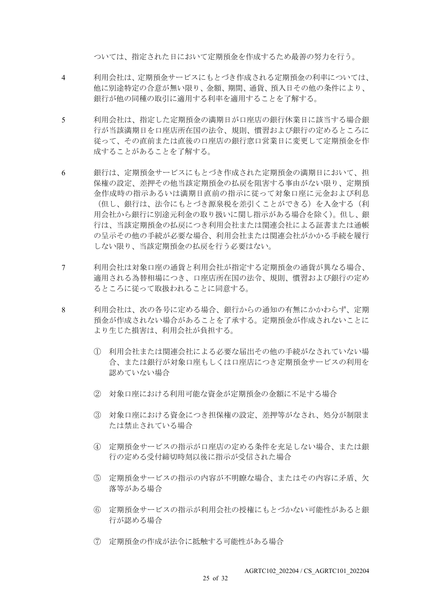ついては、指定された日において定期預金を作成するため最善の努力を行う。

- 4 利用会社は、定期預金サービスにもとづき作成される定期預金の利率については、 他に別途特定の合意が無い限り、金額、期間、通貨、預入日その他の条件により、 銀行が他の同種の取引に適用する利率を適用することを了解する。
- 5 利用会社は、指定した定期預金の満期日が口座店の銀行休業日に該当する場合銀 行が当該満期日を口座店所在国の法令、規則、慣習および銀行の定めるところに 従って、その直前または直後の口座店の銀行窓口営業日に変更して定期預金を作 成することがあることを了解する。
- 6 銀行は、定期預金サービスにもとづき作成された定期預金の満期日において、担 保権の設定、差押その他当該定期預金の払戻を阻害する事由がない限り、定期預 金作成時の指示あるいは満期日直前の指示に従って対象口座に元金および利息 (但し、銀行は、法令にもとづき源泉税を差引くことができる)を入金する(利 用会社から銀行に別途元利金の取り扱いに関し指示がある場合を除く)。但し、銀 行は、当該定期預金の払戻につき利用会社または関連会社による証書または通帳 の呈示その他の手続が必要な場合、利用会社または関連会社がかかる手続を履行 しない限り、当該定期預金の払戻を行う必要はない。
- 7 利用会社は対象口座の通貨と利用会社が指定する定期預金の通貨が異なる場合、 適用される為替相場につき、口座店所在国の法令、規則、慣習および銀行の定め るところに従って取扱われることに同意する。
- 8 利用会社は、次の各号に定める場合、銀行からの通知の有無にかかわらず、定期 預金が作成されない場合があることを了承する。定期預金が作成されないことに より生じた損害は、利用会社が負担する。
	- ① 利用会社または関連会社による必要な届出その他の手続がなされていない場 合、または銀行が対象口座もしくは口座店につき定期預金サービスの利用を 認めていない場合
	- ② 対象口座における利用可能な資金が定期預金の金額に不足する場合
	- ③ 対象口座における資金につき担保権の設定、差押等がなされ、処分が制限ま たは禁止されている場合
	- ④ 定期預金サービスの指示が口座店の定める条件を充足しない場合、または銀 行の定める受付締切時刻以後に指示が受信された場合
	- ⑤ 定期預金サービスの指示の内容が不明瞭な場合、またはその内容に矛盾、欠 落等がある場合
	- ⑥ 定期預金サービスの指示が利用会社の授権にもとづかない可能性があると銀 行が認める場合
	- ⑦ 定期預金の作成が法令に抵触する可能性がある場合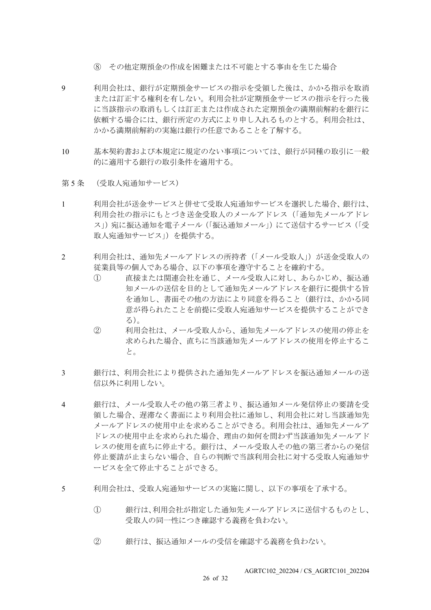- ⑧ その他定期預金の作成を困難または不可能とする事由を生じた場合
- 9 利用会社は、銀行が定期預金サービスの指示を受領した後は、かかる指示を取消 または訂正する権利を有しない。利用会社が定期預金サービスの指示を行った後 に当該指示の取消もしくは訂正または作成された定期預金の満期前解約を銀行に 依頼する場合には、銀行所定の方式により申し入れるものとする。利用会社は、 かかる満期前解約の実施は銀行の任意であることを了解する。
- 10 基本契約書および本規定に規定のない事項については、銀行が同種の取引に一般 的に適用する銀行の取引条件を適用する。
- 第5条 (受取人宛通知サービス)
- 1 利用会社が送金サービスと併せて受取人宛通知サービスを選択した場合、銀行は、 利用会社の指示にもとづき送金受取人のメールアドレス(「通知先メールアドレ ス」)宛に振込通知を電子メール(「振込通知メール」)にて送信するサービス(「受 取人宛通知サービス」)を提供する。
- 2 利用会社は、通知先メールアドレスの所持者(「メール受取人」)が送金受取人の 従業員等の個人である場合、以下の事項を遵守することを確約する。
	- ① 直接または関連会社を通じ、メール受取人に対し、あらかじめ、振込通 知メールの送信を目的として通知先メールアドレスを銀行に提供する旨 を通知し、書面その他の方法により同意を得ること(銀行は、かかる同 意が得られたことを前提に受取人宛通知サービスを提供することができ る)。
	- ② 利用会社は、メール受取人から、通知先メールアドレスの使用の停止を 求められた場合、直ちに当該通知先メールアドレスの使用を停止するこ と。
- 3 銀行は、利用会社により提供された通知先メールアドレスを振込通知メールの送 信以外に利用しない。
- 4 銀行は、メール受取人その他の第三者より、振込通知メール発信停止の要請を受 領した場合、遅滞なく書面により利用会社に通知し、利用会社に対し当該通知先 メールアドレスの使用中止を求めることができる。利用会社は、通知先メールア ドレスの使用中止を求められた場合、理由の如何を問わず当該通知先メールアド レスの使用を直ちに停止する。銀行は、メール受取人その他の第三者からの発信 停止要請が止まらない場合、自らの判断で当該利用会社に対する受取人宛通知サ ービスを全て停止することができる。
- 5 利用会社は、受取人宛通知サービスの実施に関し、以下の事項を了承する。
	- ① 銀行は、利用会社が指定した通知先メールアドレスに送信するものとし、 受取人の同一性につき確認する義務を負わない。
	- ② 銀行は、振込通知メールの受信を確認する義務を負わない。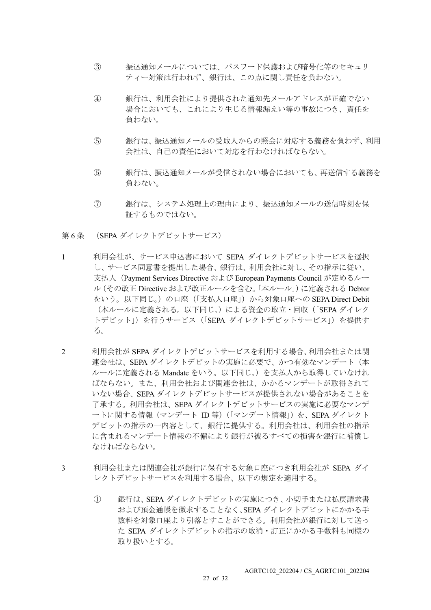- ③ 振込通知メールについては、パスワード保護および暗号化等のセキュリ ティー対策は行われず、銀行は、この点に関し責任を負わない。
- ④ 銀行は、利用会社により提供された通知先メールアドレスが正確でない 場合においても、これにより生じる情報漏えい等の事故につき、責任を 負わない。
- ⑤ 銀行は、振込通知メールの受取人からの照会に対応する義務を負わず、利用 会社は、自己の責任において対応を行わなければならない。
- ⑥ 銀行は、振込通知メールが受信されない場合においても、再送信する義務を 負わない。
- ⑦ 銀行は、システム処理上の理由により、振込通知メールの送信時刻を保 証するものではない。
- 第 6 条 (SEPA ダイレクトデビットサービス)
- 1 利用会社が、サービス申込書において SEPA ダイレクトデビットサービスを選択 し、サービス同意書を提出した場合、銀行は、利用会社に対し、その指示に従い、 支払人(Payment Services Directive および European Payments Council が定めるルー ル(その改正 Directive および改正ルールを含む。「本ルール」)に定義される Debtor をいう。以下同じ。)の口座(「支払人口座」)から対象口座への SEPA Direct Debit (本ルールに定義される。以下同じ。)による資金の取立·回収(「SEPA ダイレク トデビット」)を行うサービス (「SEPA ダイレクトデビットサービス」)を提供す る。
- 2 利用会社が SEPA ダイレクトデビットサービスを利用する場合、利用会社または関 連会社は、SEPA ダイレクトデビットの実施に必要で、かつ有効なマンデート(本 ルールに定義される Mandate をいう。以下同じ。)を支払人から取得していなけれ ばならない。また、利用会社および関連会社は、かかるマンデートが取得されて いない場合、SEPA ダイレクトデビットサービスが提供されない場合があることを 了承する。利用会社は、SEPA ダイレクトデビットサービスの実施に必要なマンデ ートに関する情報(マンデート ID 等)(「マンデート情報」)を、SEPA ダイレクト デビットの指示の一内容として、銀行に提供する。利用会社は、利用会社の指示 に含まれるマンデート情報の不備により銀行が被るすべての損害を銀行に補償し なければならない。
- 3 利用会社または関連会社が銀行に保有する対象口座につき利用会社が SEPA ダイ レクトデビットサービスを利用する場合、以下の規定を適用する。
	- ① 銀行は、SEPA ダイレクトデビットの実施につき、小切手または払戻請求書 および預金通帳を徴求することなく、SEPA ダイレクトデビットにかかる手 数料を対象口座より引落とすことができる。利用会社が銀行に対して送っ た SEPA ダイレクトデビットの指示の取消・訂正にかかる手数料も同様の 取り扱いとする。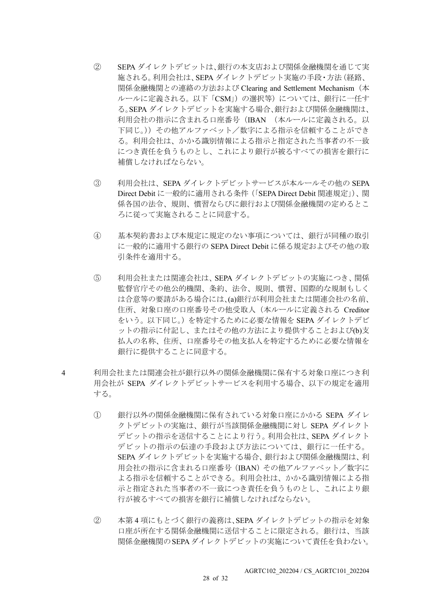- ② SEPA ダイレクトデビットは、銀行の本支店および関係金融機関を通じて実 施される。利用会社は、SEPA ダイレクトデビット実施の手段・方法(経路、 関係金融機関との連絡の方法および Clearing and Settlement Mechanism(本 ルールに定義される。以下「CSM」)の選択等)については、銀行に一任す る。SEPA ダイレクトデビットを実施する場合、銀行および関係金融機関は、 利用会社の指示に含まれる口座番号(IBAN (本ルールに定義される。以 下同じ。))その他アルファベット/数字による指示を信頼することができ る。利用会社は、かかる識別情報による指示と指定された当事者の不一致 につき責任を負うものとし、これにより銀行が被るすべての損害を銀行に 補償しなければならない。
- ③ 利用会社は、SEPA ダイレクトデビットサービスが本ルールその他の SEPA Direct Debit に一般的に適用される条件(「SEPA Direct Debit 関連規定」)、関 係各国の法令、規則、慣習ならびに銀行および関係金融機関の定めるとこ ろに従って実施されることに同意する。
- ④ 基本契約書および本規定に規定のない事項については、銀行が同種の取引 に一般的に適用する銀行の SEPA Direct Debit に係る規定およびその他の取 引条件を適用する。
- ⑤ 利用会社または関連会社は、SEPA ダイレクトデビットの実施につき、関係 監督官庁その他公的機関、条約、法令、規則、慣習、国際的な規制もしく は合意等の要請がある場合には、(a)銀行が利用会社または関連会社の名前、 住所、対象口座の口座番号その他受取人(本ルールに定義される Creditor をいう。以下同じ。)を特定するために必要な情報を SEPA ダイレクトデビ ットの指示に付記し、またはその他の方法により提供することおよび(b)支 払人の名称、住所、口座番号その他支払人を特定するために必要な情報を 銀行に提供することに同意する。
- 4 利用会社または関連会社が銀行以外の関係金融機関に保有する対象口座につき利 用会社が SEPA ダイレクトデビットサービスを利用する場合、以下の規定を適用 する。
	- ① 銀行以外の関係金融機関に保有されている対象口座にかかる SEPA ダイレ クトデビットの実施は、銀行が当該関係金融機関に対し SEPA ダイレクト デビットの指示を送信することにより行う。利用会社は、SEPA ダイレクト デビットの指示の伝達の手段および方法については、銀行に一任する。 SEPA ダイレクトデビットを実施する場合、銀行および関係金融機関は、利 用会社の指示に含まれる口座番号(IBAN)その他アルファベット/数字に よる指示を信頼することができる。利用会社は、かかる識別情報による指 示と指定された当事者の不一致につき責任を負うものとし、これにより銀 行が被るすべての損害を銀行に補償しなければならない。
	- ② 本第 4 項にもとづく銀行の義務は、SEPA ダイレクトデビットの指示を対象 口座が所在する関係金融機関に送信することに限定される。銀行は、当該 関係金融機関のSEPAダイレクトデビットの実施について責任を負わない。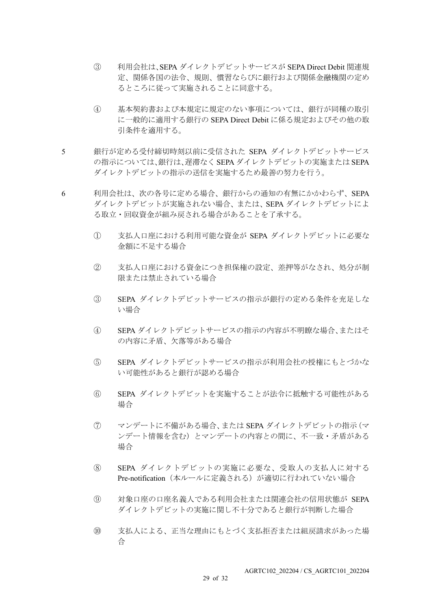- ③ 利用会社は、SEPA ダイレクトデビットサービスが SEPA Direct Debit 関連規 定、関係各国の法令、規則、慣習ならびに銀行および関係金融機関の定め るところに従って実施されることに同意する。
- ④ 基本契約書および本規定に規定のない事項については、銀行が同種の取引 に一般的に適用する銀行の SEPA Direct Debit に係る規定およびその他の取 引条件を適用する。
- 5 銀行が定める受付締切時刻以前に受信された SEPA ダイレクトデビットサービス の指示については、銀行は、遅滞なく SEPA ダイレクトデビットの実施または SEPA ダイレクトデビットの指示の送信を実施するため最善の努力を行う。
- 6 利用会社は、次の各号に定める場合、銀行からの通知の有無にかかわらず、SEPA ダイレクトデビットが実施されない場合、または、SEPA ダイレクトデビットによ る取立・回収資金が組み戻される場合があることを了承する。
	- ① 支払人口座における利用可能な資金が SEPA ダイレクトデビットに必要な 金額に不足する場合
	- ② 支払人口座における資金につき担保権の設定、差押等がなされ、処分が制 限または禁止されている場合
	- ③ SEPA ダイレクトデビットサービスの指示が銀行の定める条件を充足しな い場合
	- ④ SEPA ダイレクトデビットサービスの指示の内容が不明瞭な場合、またはそ の内容に矛盾、欠落等がある場合
	- ⑤ SEPA ダイレクトデビットサービスの指示が利用会社の授権にもとづかな い可能性があると銀行が認める場合
	- ⑥ SEPA ダイレクトデビットを実施することが法令に抵触する可能性がある 場合
	- ⑦ マンデートに不備がある場合、または SEPA ダイレクトデビットの指示(マ ンデート情報を含む)とマンデートの内容との間に、不一致・矛盾がある 場合
	- ⑧ SEPA ダイレクトデビットの実施に必要な、受取人の支払人に対する Pre-notification (本ルールに定義される)が適切に行われていない場合
	- ⑨ 対象口座の口座名義人である利用会社または関連会社の信用状態が SEPA ダイレクトデビットの実施に関し不十分であると銀行が判断した場合
	- ⑩ 支払人による、正当な理由にもとづく支払拒否または組戻請求があった場 合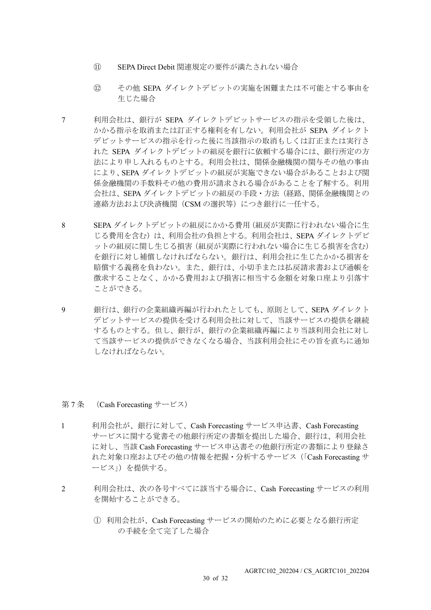- ⑪ SEPA Direct Debit 関連規定の要件が満たされない場合
- ⑫ その他 SEPA ダイレクトデビットの実施を困難または不可能とする事由を 生じた場合
- 7 利用会社は、銀行が SEPA ダイレクトデビットサービスの指示を受領した後は、 かかる指示を取消または訂正する権利を有しない。利用会社が SEPA ダイレクト デビットサービスの指示を行った後に当該指示の取消もしくは訂正または実行さ れた SEPA ダイレクトデビットの組戻を銀行に依頼する場合には、銀行所定の方 法により申し入れるものとする。利用会社は、関係金融機関の関与その他の事由 により、SEPA ダイレクトデビットの組戻が実施できない場合があることおよび関 係金融機関の手数料その他の費用が請求される場合があることを了解する。利用 会社は、SEPA ダイレクトデビットの組戻の手段・方法(経路、関係金融機関との 連絡方法および決済機関 (CSM の選択等) につき銀行に一任する。
- 8 SEPA ダイレクトデビットの組戻にかかる費用(組戻が実際に行われない場合に生 じる費用を含む)は、利用会社の負担とする。利用会社は、SEPA ダイレクトデビ ットの組戻に関し生じる損害(組戻が実際に行われない場合に生じる損害を含む) を銀行に対し補償しなければならない。銀行は、利用会社に生じたかかる損害を 賠償する義務を負わない。また、銀行は、小切手または払戻請求書および通帳を 徴求することなく、かかる費用および損害に相当する金額を対象口座より引落す ことができる。
- 9 銀行は、銀行の企業組織再編が行われたとしても、原則として、SEPA ダイレクト デビットサービスの提供を受ける利用会社に対して、当該サービスの提供を継続 するものとする。但し、銀行が、銀行の企業組織再編により当該利用会社に対し て当該サービスの提供ができなくなる場合、当該利用会社にその旨を直ちに通知 しなければならない。

#### 第 7 条 (Cash Forecasting サービス)

- 1 利用会社が、銀行に対して、Cash Forecasting サービス申込書、Cash Forecasting サービスに関する覚書その他銀行所定の書類を提出した場合、銀行は、利用会社 に対し、当該 Cash Forecasting サービス申込書その他銀行所定の書類により登録さ れた対象口座およびその他の情報を把握・分析するサービス(「Cash Forecasting サ ービス」)を提供する。
- 2 利用会社は、次の各号すべてに該当する場合に、Cash Forecasting サービスの利用 を開始することができる。
	- ① 利用会社が、Cash Forecasting サービスの開始のために必要となる銀行所定 の手続を全て完了した場合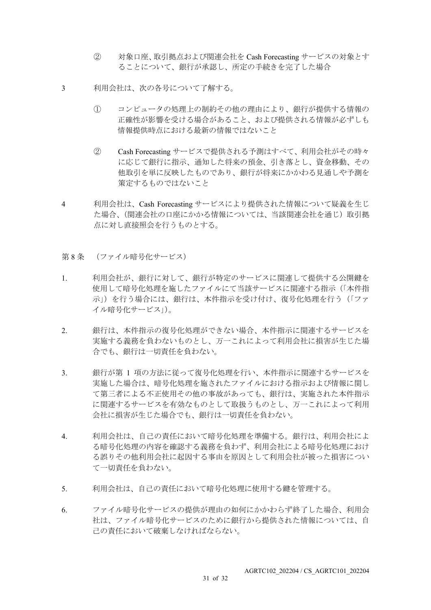- ② 対象口座、取引拠点および関連会社を Cash Forecasting サービスの対象とす ることについて、銀行が承認し、所定の手続きを完了した場合
- 3 利用会社は、次の各号について了解する。
	- ① コンピュータの処理上の制約その他の理由により、銀行が提供する情報の 正確性が影響を受ける場合があること、および提供される情報が必ずしも 情報提供時点における最新の情報ではないこと
	- ② Cash Forecasting サービスで提供される予測はすべて、利用会社がその時々 に応じて銀行に指示、通知した将来の預金、引き落とし、資金移動、その 他取引を単に反映したものであり、銀行が将来にかかわる見通しや予測を 策定するものではないこと
- 4 利用会社は、Cash Forecasting サービスにより提供された情報について疑義を生じ た場合、(関連会社の口座にかかる情報については、当該関連会社を通じ)取引拠 点に対し直接照会を行うものとする。
- 第8条 (ファイル暗号化サービス)
- 1. 利用会社が、銀行に対して、銀行が特定のサービスに関連して提供する公開鍵を 使用して暗号化処理を施したファイルにて当該サービスに関連する指示(「本件指 示」)を行う場合には、銀行は、本件指示を受け付け、復号化処理を行う(「ファ イル暗号化サービス」)。
- 2. 銀行は、本件指示の復号化処理ができない場合、本件指示に関連するサービスを 実施する義務を負わないものとし、万一これによって利用会社に損害が生じた場 合でも、銀行は一切責任を負わない。
- 3. 観行が第 1 項の方法に従って復号化処理を行い、本件指示に関連するサービスを 実施した場合は、暗号化処理を施されたファイルにおける指示および情報に関し て第三者による不正使用その他の事故があっても、銀行は、実施された本件指示 に関連するサービスを有効なものとして取扱うものとし、万一これによって利用 会社に損害が生じた場合でも、銀行は一切責任を負わない。
- 4. 利用会社は、自己の責任において暗号化処理を準備する。銀行は、利用会社によ る暗号化処理の内容を確認する義務を負わず、利用会社による暗号化処理におけ る誤りその他利用会社に起因する事由を原因として利用会社が被った損害につい て一切責任を負わない。
- 5. 利用会社は、自己の責任において暗号化処理に使用する鍵を管理する。
- 6. ファイル暗号化サービスの提供が理由の如何にかかわらず終了した場合、利用会 社は、ファイル暗号化サービスのために銀行から提供された情報については、自 己の責任において破棄しなければならない。